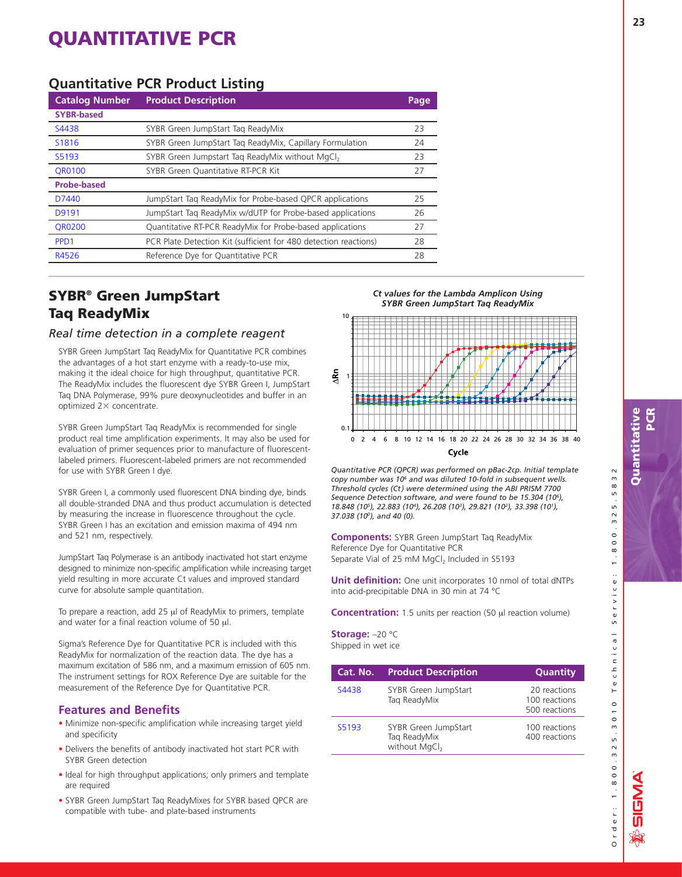### **Quantitative PCR Product Listing**

| <b>Catalog Number</b> | <b>Product Description</b>                                       | Page, |
|-----------------------|------------------------------------------------------------------|-------|
| <b>SYBR-based</b>     |                                                                  |       |
| S4438                 | SYBR Green JumpStart Tag ReadyMix                                | 23    |
| S1816                 | SYBR Green JumpStart Tag ReadyMix, Capillary Formulation         | 24    |
| S5193                 | SYBR Green Jumpstart Tag ReadyMix without MgCl <sub>2</sub>      | 23    |
| QR0100                | SYBR Green Quantitative RT-PCR Kit                               | 27    |
| <b>Probe-based</b>    |                                                                  |       |
| D7440                 | JumpStart Tag ReadyMix for Probe-based QPCR applications         | 25    |
| D9191                 | JumpStart Tag ReadyMix w/dUTP for Probe-based applications       | 26    |
| <b>OR0200</b>         | Quantitative RT-PCR ReadyMix for Probe-based applications        | 27    |
| PP <sub>D</sub> 1     | PCR Plate Detection Kit (sufficient for 480 detection reactions) | 28    |
| R4526                 | Reference Dye for Quantitative PCR                               | 28    |
|                       |                                                                  |       |

### **SYBR® Green JumpStart Taq ReadyMix**

### *Real time detection in a complete reagent*

SYBR Green JumpStart Taq ReadyMix for Quantitative PCR combines the advantages of a hot start enzyme with a ready-to-use mix, making it the ideal choice for high throughput, quantitative PCR. The ReadyMix includes the fluorescent dye SYBR Green I, JumpStart Taq DNA Polymerase, 99% pure deoxynucleotides and buffer in an optimized  $2\times$  concentrate.

SYBR Green JumpStart Taq ReadyMix is recommended for single product real time amplification experiments. It may also be used for evaluation of primer sequences prior to manufacture of fluorescentlabeled primers. Fluorescent-labeled primers are not recommended for use with SYBR Green I dye.

SYBR Green I, a commonly used fluorescent DNA binding dye, binds all double-stranded DNA and thus product accumulation is detected by measuring the increase in fluorescence throughout the cycle. SYBR Green I has an excitation and emission maxima of 494 nm and 521 nm, respectively.

JumpStart Taq Polymerase is an antibody inactivated hot start enzyme designed to minimize non-specific amplification while increasing target yield resulting in more accurate Ct values and improved standard curve for absolute sample quantitation.

To prepare a reaction, add 25 μl of ReadyMix to primers, template and water for a final reaction volume of 50 μl.

Sigma's Reference Dye for Quantitative PCR is included with this ReadyMix for normalization of the reaction data. The dye has a maximum excitation of 586 nm, and a maximum emission of 605 nm. The instrument settings for ROX Reference Dye are suitable for the measurement of the Reference Dye for Quantitative PCR.

### **Features and Benefits**

- Minimize non-specific amplification while increasing target yield and specificity
- Delivers the benefits of antibody inactivated hot start PCR with SYBR Green detection
- Ideal for high throughput applications; only primers and template are required
- SYBR Green JumpStart Taq ReadyMixes for SYBR based QPCR are compatible with tube- and plate-based instruments

*Ct values for the Lambda Amplicon Using* 



*Quantitative PCR (QPCR) was performed on pBac-2cp. Initial template copy number was 106 and was diluted 10-fold in subsequent wells. Threshold cycles (Ct) were determined using the ABI PRISM 7700 Sequence Detection software, and were found to be 15.304 (106), 18.848 (105), 22.883 (104), 26.208 (103), 29.821 (102), 33.398 (101), 37.038 (100), and 40 (0).*

**Components:** SYBR Green JumpStart Taq ReadyMix Reference Dye for Quantitative PCR Separate Vial of 25 mM MgCl<sub>2</sub> Included in S5193

**Unit definition:** One unit incorporates 10 nmol of total dNTPs into acid-precipitable DNA in 30 min at 74 °C

**Concentration:** 1.5 units per reaction (50 μl reaction volume)

**Storage:** –20 °C Shipped in wet ice

| Cat. No. | <b>Product Description</b>                                        | <b>Quantity</b>                                |
|----------|-------------------------------------------------------------------|------------------------------------------------|
| S4438    | SYBR Green JumpStart<br>Tag ReadyMix                              | 20 reactions<br>100 reactions<br>500 reactions |
| S5193    | SYBR Green JumpStart<br>Tag ReadyMix<br>without MgCl <sub>2</sub> | 100 reactions<br>400 reactions                 |

5832

 $\overline{a}$ 

 $\ddot{\phantom{a}}$ 

 $\overline{a}$ 

 $\cup$  $\mathbb{F}$  $\frac{0}{1}$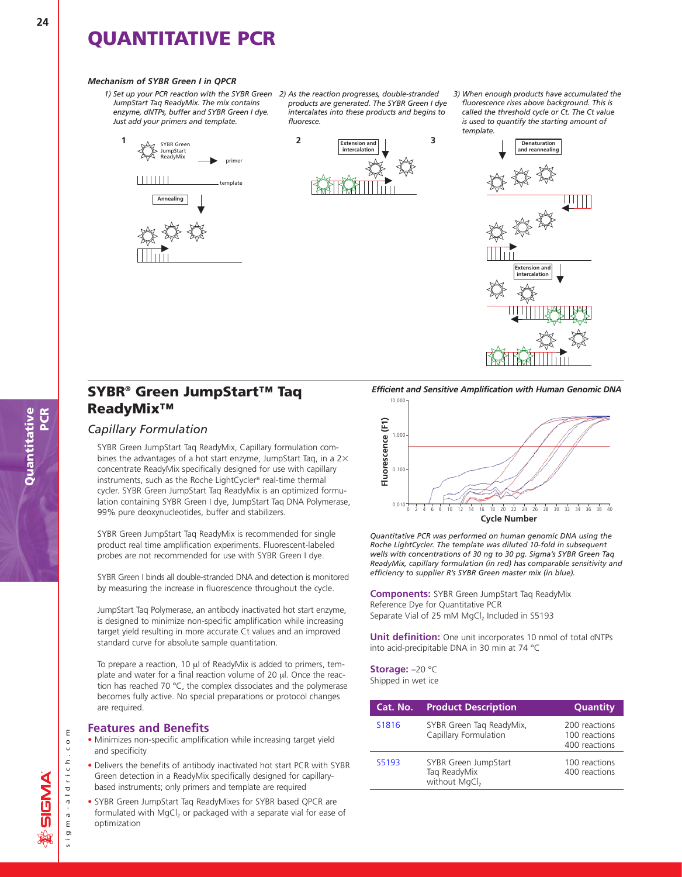#### *Mechanism of SYBR Green I in QPCR*

*1) Set up your PCR reaction with the SYBR Green 2) As the reaction progresses, double-stranded JumpStart Taq ReadyMix. The mix contains enzyme, dNTPs, buffer and SYBR Green I dye. Just add your primers and template.*



*products are generated. The SYBR Green I dye intercalates into these products and begins to fluoresce.*



*3) When enough products have accumulated the fluorescence rises above background. This is called the threshold cycle or Ct. The Ct value is used to quantify the starting amount of template.*



### **SYBR® Green JumpStart™ Taq ReadyMix™**

### *Capillary Formulation*

SYBR Green JumpStart Taq ReadyMix, Capillary formulation combines the advantages of a hot start enzyme, JumpStart Taq, in a  $2\times$ concentrate ReadyMix specifically designed for use with capillary instruments, such as the Roche LightCycler® real-time thermal cycler. SYBR Green JumpStart Taq ReadyMix is an optimized formulation containing SYBR Green I dye, JumpStart Taq DNA Polymerase, 99% pure deoxynucleotides, buffer and stabilizers.

SYBR Green JumpStart Taq ReadyMix is recommended for single product real time amplification experiments. Fluorescent-labeled probes are not recommended for use with SYBR Green I dye.

SYBR Green I binds all double-stranded DNA and detection is monitored by measuring the increase in fluorescence throughout the cycle.

JumpStart Taq Polymerase, an antibody inactivated hot start enzyme, is designed to minimize non-specific amplification while increasing target yield resulting in more accurate Ct values and an improved standard curve for absolute sample quantitation.

To prepare a reaction, 10 μl of ReadyMix is added to primers, template and water for a final reaction volume of 20 μl. Once the reaction has reached 70 °C, the complex dissociates and the polymerase becomes fully active. No special preparations or protocol changes are required.

#### **Features and Benefits**

- Minimizes non-specific amplification while increasing target yield and specificity
- Delivers the benefits of antibody inactivated hot start PCR with SYBR Green detection in a ReadyMix specifically designed for capillarybased instruments; only primers and template are required
- SYBR Green JumpStart Taq ReadyMixes for SYBR based QPCR are formulated with MgCl<sub>2</sub> or packaged with a separate vial for ease of optimization

*Efficient and Sensitive Amplification with Human Genomic DNA* 10.000



*Quantitative PCR was performed on human genomic DNA using the Roche LightCycler. The template was diluted 10-fold in subsequent wells with concentrations of 30 ng to 30 pg. Sigma's SYBR Green Taq ReadyMix, capillary formulation (in red) has comparable sensitivity and efficiency to supplier R's SYBR Green master mix (in blue).*

**Components:** SYBR Green JumpStart Taq ReadyMix Reference Dye for Quantitative PCR Separate Vial of 25 mM  $MgCl<sub>2</sub>$  Included in S5193

**Unit definition:** One unit incorporates 10 nmol of total dNTPs into acid-precipitable DNA in 30 min at 74 °C

**Storage:** –20 °C Shipped in wet ice

| Cat. No. | <b>Product Description</b>                                        | <b>Quantity</b>                                 |
|----------|-------------------------------------------------------------------|-------------------------------------------------|
| S1816    | SYBR Green Tag ReadyMix,<br>Capillary Formulation                 | 200 reactions<br>100 reactions<br>400 reactions |
| S5193    | SYBR Green JumpStart<br>Tag ReadyMix<br>without MgCl <sub>2</sub> | 100 reactions<br>400 reactions                  |

sigma-aldrich.com

 $m a - a 1 d r i c h$ 

 $1.615$ 

 $\mathsf E$  $\circ$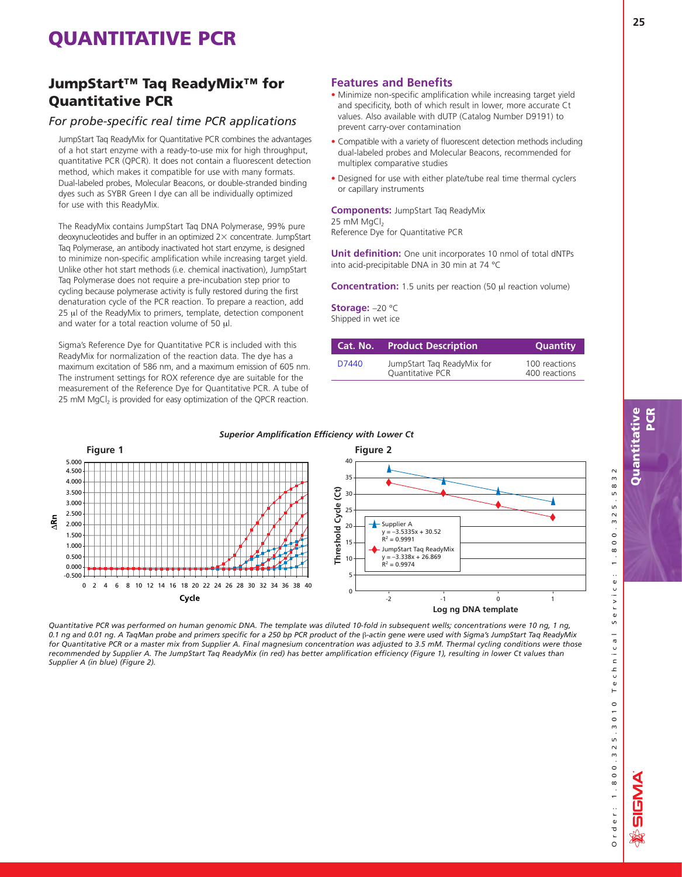### **JumpStart™ Taq ReadyMix™ for Quantitative PCR**

### *For probe-specific real time PCR applications*

JumpStart Taq ReadyMix for Quantitative PCR combines the advantages of a hot start enzyme with a ready-to-use mix for high throughput, quantitative PCR (QPCR). It does not contain a fluorescent detection method, which makes it compatible for use with many formats. Dual-labeled probes, Molecular Beacons, or double-stranded binding dyes such as SYBR Green I dye can all be individually optimized for use with this ReadyMix.

The ReadyMix contains JumpStart Taq DNA Polymerase, 99% pure deoxynucleotides and buffer in an optimized  $2\times$  concentrate. JumpStart Taq Polymerase, an antibody inactivated hot start enzyme, is designed to minimize non-specific amplification while increasing target yield. Unlike other hot start methods (i.e. chemical inactivation), JumpStart Taq Polymerase does not require a pre-incubation step prior to cycling because polymerase activity is fully restored during the first denaturation cycle of the PCR reaction. To prepare a reaction, add 25 μl of the ReadyMix to primers, template, detection component and water for a total reaction volume of 50 μl.

Sigma's Reference Dye for Quantitative PCR is included with this ReadyMix for normalization of the reaction data. The dye has a maximum excitation of 586 nm, and a maximum emission of 605 nm. The instrument settings for ROX reference dye are suitable for the measurement of the Reference Dye for Quantitative PCR. A tube of 25 mM MgCl<sub>2</sub> is provided for easy optimization of the QPCR reaction.

### **Features and Benefits**

- Minimize non-specific amplification while increasing target yield and specificity, both of which result in lower, more accurate Ct values. Also available with dUTP (Catalog Number D9191) to prevent carry-over contamination
- Compatible with a variety of fluorescent detection methods including dual-labeled probes and Molecular Beacons, recommended for multiplex comparative studies
- Designed for use with either plate/tube real time thermal cyclers or capillary instruments

### **Components:** JumpStart Taq ReadyMix 25 mM MgCl<sub>2</sub>

Reference Dye for Quantitative PCR

**Unit definition:** One unit incorporates 10 nmol of total dNTPs into acid-precipitable DNA in 30 min at 74 °C

**Concentration:** 1.5 units per reaction (50 μl reaction volume)

#### **Storage:** –20 °C Shipped in wet ice

| Cat. No. | <b>Product Description</b>                            | <b>Quantity</b>                |
|----------|-------------------------------------------------------|--------------------------------|
| D7440    | JumpStart Tag ReadyMix for<br><b>Ouantitative PCR</b> | 100 reactions<br>400 reactions |



*Quantitative PCR was performed on human genomic DNA. The template was diluted 10-fold in subsequent wells; concentrations were 10 ng, 1 ng, 0.1 ng and 0.01 ng. A TaqMan probe and primers specific for a 250 bp PCR product of the* β*-actin gene were used with Sigma's JumpStart Taq ReadyMix for Quantitative PCR or a master mix from Supplier A. Final magnesium concentration was adjusted to 3.5 mM. Thermal cycling conditions were those recommended by Supplier A. The JumpStart Taq ReadyMix (in red) has better amplification efficiency (Figure 1), resulting in lower Ct values than Supplier A (in blue) (Figure 2).*

#### *Superior Amplification Efficiency with Lower Ct*

5832

 $\overline{5}$ 

 $\sim$ 

 $\omega$  $\circ$  $\circ$ 

Order: 1.800.325.3010 Technical Service: 1.800.325.5832  $\frac{8}{1}$ .  $\ddot{\phantom{a}}$  $\frac{e}{1}$  $\frac{1}{2}$  $S e$  $\overline{a}$ Technica  $\frac{0}{1}$  $\circ$  $5.3$ rder: 1.800.32

**ANSIG**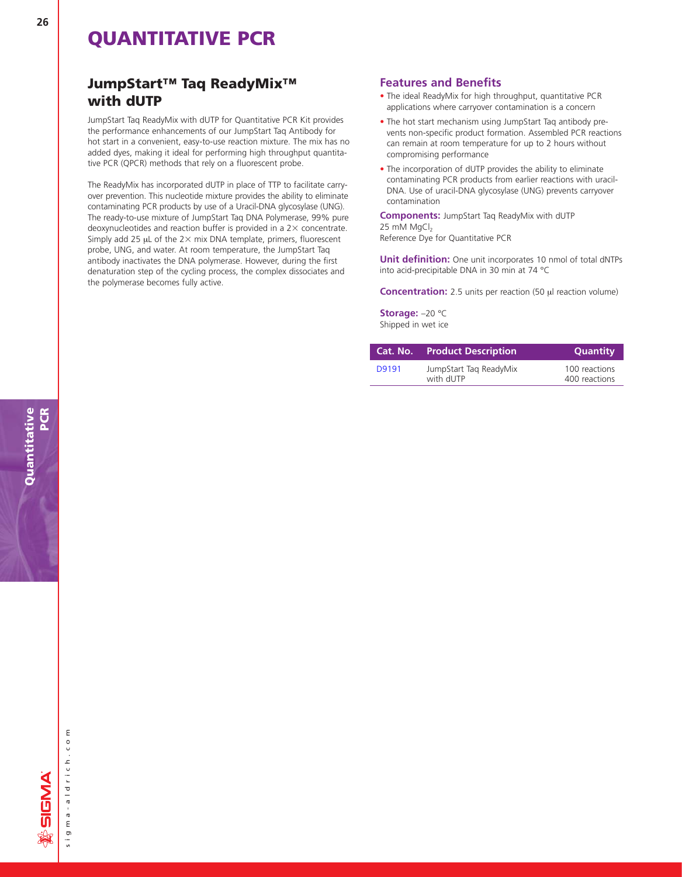### **JumpStart™ Taq ReadyMix™ with dUTP**

JumpStart Taq ReadyMix with dUTP for Quantitative PCR Kit provides the performance enhancements of our JumpStart Taq Antibody for hot start in a convenient, easy-to-use reaction mixture. The mix has no added dyes, making it ideal for performing high throughput quantitative PCR (QPCR) methods that rely on a fluorescent probe.

The ReadyMix has incorporated dUTP in place of TTP to facilitate carryover prevention. This nucleotide mixture provides the ability to eliminate contaminating PCR products by use of a Uracil-DNA glycosylase (UNG). The ready-to-use mixture of JumpStart Taq DNA Polymerase, 99% pure deoxynucleotides and reaction buffer is provided in a  $2\times$  concentrate. Simply add 25  $\mu$ L of the 2 $\times$  mix DNA template, primers, fluorescent probe, UNG, and water. At room temperature, the JumpStart Taq antibody inactivates the DNA polymerase. However, during the first denaturation step of the cycling process, the complex dissociates and the polymerase becomes fully active.

### **Features and Benefits**

- The ideal ReadyMix for high throughput, quantitative PCR applications where carryover contamination is a concern
- The hot start mechanism using JumpStart Taq antibody prevents non-specific product formation. Assembled PCR reactions can remain at room temperature for up to 2 hours without compromising performance
- The incorporation of dUTP provides the ability to eliminate contaminating PCR products from earlier reactions with uracil-DNA. Use of uracil-DNA glycosylase (UNG) prevents carryover contamination

**Components:** JumpStart Taq ReadyMix with dUTP 25 mM MgCl<sub>2</sub> Reference Dye for Quantitative PCR

**Unit definition:** One unit incorporates 10 nmol of total dNTPs into acid-precipitable DNA in 30 min at 74 °C

**Concentration:** 2.5 units per reaction (50 μl reaction volume)

**Storage:** –20 °C Shipped in wet ice

| Cat. No. | <b>Product Description</b>          | <b>Quantity</b>                |
|----------|-------------------------------------|--------------------------------|
| D9191    | JumpStart Tag ReadyMix<br>with dUTP | 100 reactions<br>400 reactions |

sigma-aldrich.com

sigma-aldrich.co

 $\mathsf E$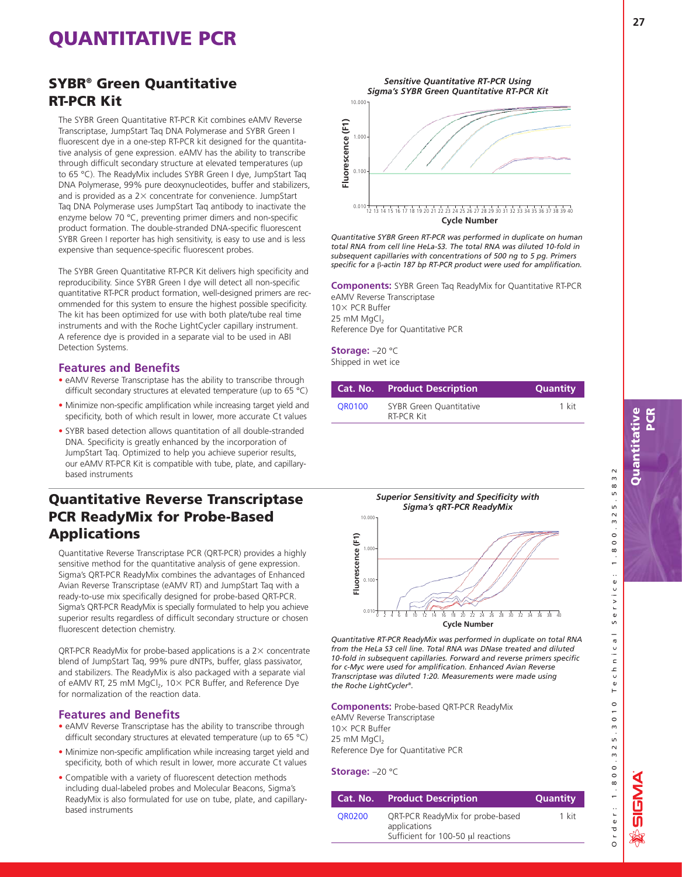### **SYBR® Green Quantitative RT-PCR Kit**

The SYBR Green Quantitative RT-PCR Kit combines eAMV Reverse Transcriptase, JumpStart Taq DNA Polymerase and SYBR Green I fluorescent dye in a one-step RT-PCR kit designed for the quantitative analysis of gene expression. eAMV has the ability to transcribe through difficult secondary structure at elevated temperatures (up to 65 °C). The ReadyMix includes SYBR Green I dye, JumpStart Taq DNA Polymerase, 99% pure deoxynucleotides, buffer and stabilizers, and is provided as a  $2\times$  concentrate for convenience. JumpStart Taq DNA Polymerase uses JumpStart Taq antibody to inactivate the enzyme below 70 °C, preventing primer dimers and non-specific product formation. The double-stranded DNA-specific fluorescent SYBR Green I reporter has high sensitivity, is easy to use and is less expensive than sequence-specific fluorescent probes.

The SYBR Green Quantitative RT-PCR Kit delivers high specificity and reproducibility. Since SYBR Green I dye will detect all non-specific quantitative RT-PCR product formation, well-designed primers are recommended for this system to ensure the highest possible specificity. The kit has been optimized for use with both plate/tube real time instruments and with the Roche LightCycler capillary instrument. A reference dye is provided in a separate vial to be used in ABI Detection Systems.

#### **Features and Benefits**

- eAMV Reverse Transcriptase has the ability to transcribe through difficult secondary structures at elevated temperature (up to 65 °C)
- Minimize non-specific amplification while increasing target yield and specificity, both of which result in lower, more accurate Ct values
- SYBR based detection allows quantitation of all double-stranded DNA. Specificity is greatly enhanced by the incorporation of JumpStart Taq. Optimized to help you achieve superior results, our eAMV RT-PCR Kit is compatible with tube, plate, and capillarybased instruments

### **Quantitative Reverse Transcriptase PCR ReadyMix for Probe-Based Applications**

Quantitative Reverse Transcriptase PCR (QRT-PCR) provides a highly sensitive method for the quantitative analysis of gene expression. Sigma's QRT-PCR ReadyMix combines the advantages of Enhanced Avian Reverse Transcriptase (eAMV RT) and JumpStart Taq with a ready-to-use mix specifically designed for probe-based QRT-PCR. Sigma's QRT-PCR ReadyMix is specially formulated to help you achieve superior results regardless of difficult secondary structure or chosen fluorescent detection chemistry.

QRT-PCR ReadyMix for probe-based applications is a  $2\times$  concentrate blend of JumpStart Taq, 99% pure dNTPs, buffer, glass passivator, and stabilizers. The ReadyMix is also packaged with a separate vial of eAMV RT, 25 mM MgCl<sub>2</sub>, 10 $\times$  PCR Buffer, and Reference Dye for normalization of the reaction data.

#### **Features and Benefits**

- eAMV Reverse Transcriptase has the ability to transcribe through difficult secondary structures at elevated temperature (up to 65 °C)
- Minimize non-specific amplification while increasing target yield and specificity, both of which result in lower, more accurate Ct values
- Compatible with a variety of fluorescent detection methods including dual-labeled probes and Molecular Beacons, Sigma's ReadyMix is also formulated for use on tube, plate, and capillarybased instruments



*Quantitative SYBR Green RT-PCR was performed in duplicate on human total RNA from cell line HeLa-S3. The total RNA was diluted 10-fold in subsequent capillaries with concentrations of 500 ng to 5 pg. Primers specific for a* β*-actin 187 bp RT-PCR product were used for amplification.*

**Components:** SYBR Green Taq ReadyMix for Quantitative RT-PCR eAMV Reverse Transcriptase 10× PCR Buffer 25 mM MgCl<sub>2</sub> Reference Dye for Quantitative PCR

**Storage:** –20 °C Shipped in wet ice

|        | <b>Cat. No. Product Description</b>          | <b>Quantity</b> |
|--------|----------------------------------------------|-----------------|
| OR0100 | <b>SYBR Green Quantitative</b><br>RT-PCR Kit | 1 kit           |



*Quantitative RT-PCR ReadyMix was performed in duplicate on total RNA from the HeLa S3 cell line. Total RNA was DNase treated and diluted 10-fold in subsequent capillaries. Forward and reverse primers specific for c-Myc were used for amplification. Enhanced Avian Reverse Transcriptase was diluted 1:20. Measurements were made using the Roche LightCycler®.*

**Components:** Probe-based QRT-PCR ReadyMix eAMV Reverse Transcriptase 10× PCR Buffer 25 mM MgCl<sub>2</sub> Reference Dye for Quantitative PCR

#### **Storage:** –20 °C

|               | <b>Cat. No. Product Description</b>                                                    | <b>Quantity</b> |
|---------------|----------------------------------------------------------------------------------------|-----------------|
| <b>OR0200</b> | QRT-PCR ReadyMix for probe-based<br>applications<br>Sufficient for 100-50 µl reactions | 1 kit           |

Order: 1.800.325.3010 Technical Service: 1.800.325.5832

Technical

 $\frac{0}{1}$  $\circ$  $5.3$ 

rder: 1.800.32

**NASIS** 

 $S$  e r v

5.5832

 $\sim$  $\omega$  $\overline{\circ}$ 

 $1.80$  $\ddot{\phantom{a}}$  $\vdots$